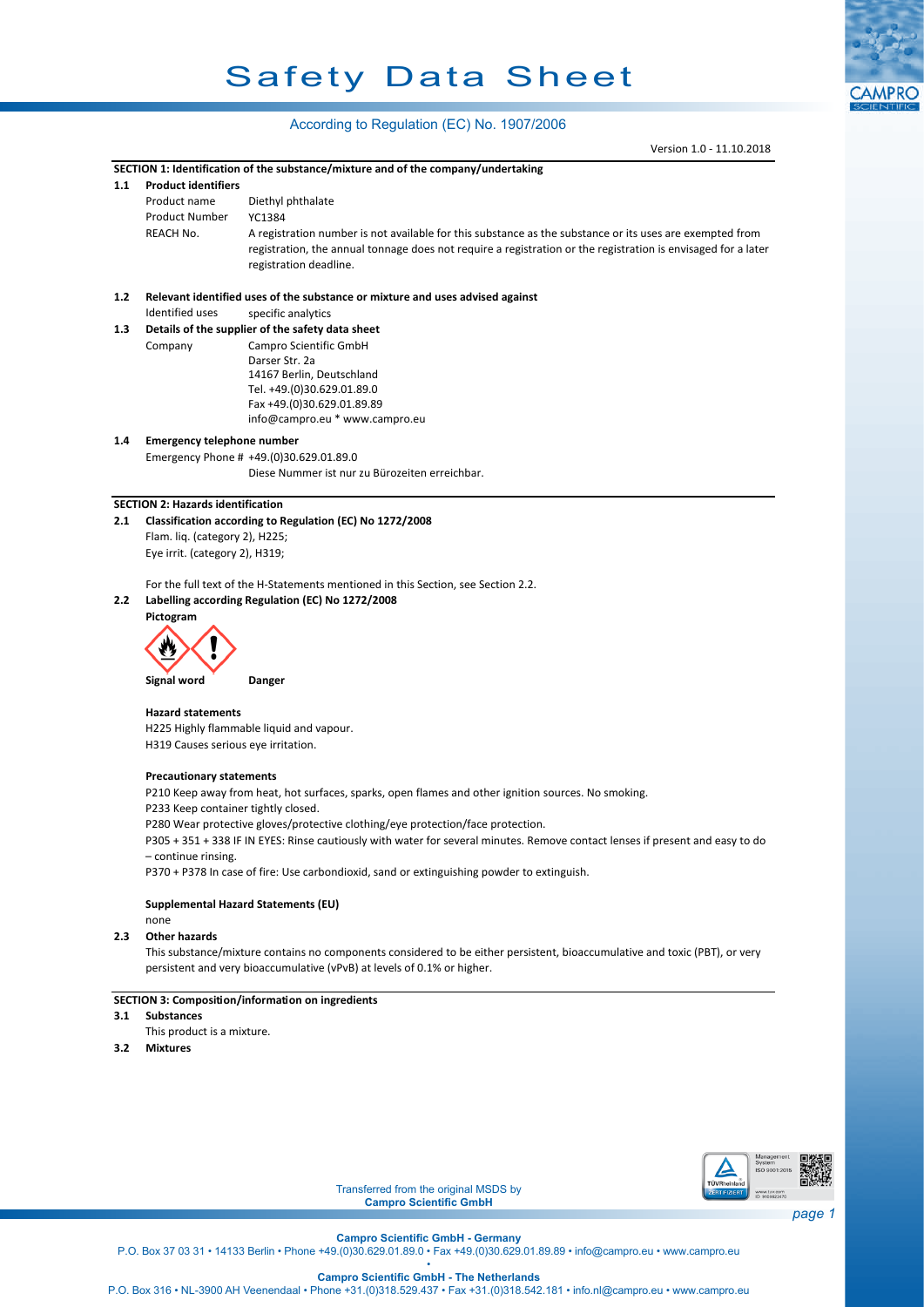## Safety Data Sheet

## According to Regulation (EC) No. 1907/2006

Version 1.0 - 11.10.2018

**CAMPRO** 

|     |                                          | Version 1.0 - 11.10.2018                                                                                                              |                              |
|-----|------------------------------------------|---------------------------------------------------------------------------------------------------------------------------------------|------------------------------|
|     |                                          | SECTION 1: Identification of the substance/mixture and of the company/undertaking                                                     |                              |
| 1.1 | <b>Product identifiers</b>               |                                                                                                                                       |                              |
|     | Product name                             | Diethyl phthalate                                                                                                                     |                              |
|     | <b>Product Number</b>                    | YC1384                                                                                                                                |                              |
|     | <b>REACH No.</b>                         | A registration number is not available for this substance as the substance or its uses are exempted from                              |                              |
|     |                                          | registration, the annual tonnage does not require a registration or the registration is envisaged for a later                         |                              |
|     |                                          | registration deadline.                                                                                                                |                              |
|     |                                          |                                                                                                                                       |                              |
| 1.2 | Identified uses                          | Relevant identified uses of the substance or mixture and uses advised against                                                         |                              |
| 1.3 |                                          | specific analytics<br>Details of the supplier of the safety data sheet                                                                |                              |
|     | Company                                  | Campro Scientific GmbH                                                                                                                |                              |
|     |                                          | Darser Str. 2a                                                                                                                        |                              |
|     |                                          | 14167 Berlin, Deutschland                                                                                                             |                              |
|     |                                          | Tel. +49.(0)30.629.01.89.0                                                                                                            |                              |
|     |                                          | Fax +49.(0)30.629.01.89.89                                                                                                            |                              |
|     |                                          | info@campro.eu * www.campro.eu                                                                                                        |                              |
| 1.4 | <b>Emergency telephone number</b>        |                                                                                                                                       |                              |
|     |                                          | Emergency Phone # +49.(0)30.629.01.89.0                                                                                               |                              |
|     |                                          | Diese Nummer ist nur zu Bürozeiten erreichbar.                                                                                        |                              |
|     |                                          |                                                                                                                                       |                              |
|     | <b>SECTION 2: Hazards identification</b> |                                                                                                                                       |                              |
| 2.1 |                                          | Classification according to Regulation (EC) No 1272/2008                                                                              |                              |
|     | Flam. liq. (category 2), H225;           |                                                                                                                                       |                              |
|     | Eye irrit. (category 2), H319;           |                                                                                                                                       |                              |
|     |                                          |                                                                                                                                       |                              |
| 2.2 |                                          | For the full text of the H-Statements mentioned in this Section, see Section 2.2.<br>Labelling according Regulation (EC) No 1272/2008 |                              |
|     | Pictogram                                |                                                                                                                                       |                              |
|     |                                          |                                                                                                                                       |                              |
|     |                                          |                                                                                                                                       |                              |
|     |                                          |                                                                                                                                       |                              |
|     | Signal word                              | Danger                                                                                                                                |                              |
|     |                                          |                                                                                                                                       |                              |
|     | <b>Hazard statements</b>                 |                                                                                                                                       |                              |
|     |                                          | H225 Highly flammable liquid and vapour.                                                                                              |                              |
|     | H319 Causes serious eye irritation.      |                                                                                                                                       |                              |
|     |                                          |                                                                                                                                       |                              |
|     | <b>Precautionary statements</b>          |                                                                                                                                       |                              |
|     |                                          | P210 Keep away from heat, hot surfaces, sparks, open flames and other ignition sources. No smoking.                                   |                              |
|     | P233 Keep container tightly closed.      |                                                                                                                                       |                              |
|     |                                          | P280 Wear protective gloves/protective clothing/eye protection/face protection.                                                       |                              |
|     |                                          | P305 + 351 + 338 IF IN EYES: Rinse cautiously with water for several minutes. Remove contact lenses if present and easy to do         |                              |
|     | - continue rinsing.                      | P370 + P378 In case of fire: Use carbondioxid, sand or extinguishing powder to extinguish.                                            |                              |
|     |                                          |                                                                                                                                       |                              |
|     |                                          | Supplemental Hazard Statements (EU)                                                                                                   |                              |
|     | none                                     |                                                                                                                                       |                              |
| 2.3 | <b>Other hazards</b>                     |                                                                                                                                       |                              |
|     |                                          | This substance/mixture contains no components considered to be either persistent, bioaccumulative and toxic (PBT), or very            |                              |
|     |                                          | persistent and very bioaccumulative (vPvB) at levels of 0.1% or higher.                                                               |                              |
|     |                                          |                                                                                                                                       |                              |
|     |                                          | SECTION 3: Composition/information on ingredients                                                                                     |                              |
| 3.1 | <b>Substances</b>                        |                                                                                                                                       |                              |
|     | This product is a mixture.               |                                                                                                                                       |                              |
| 3.2 | <b>Mixtures</b>                          |                                                                                                                                       |                              |
|     |                                          |                                                                                                                                       |                              |
|     |                                          |                                                                                                                                       |                              |
|     |                                          |                                                                                                                                       |                              |
|     |                                          |                                                                                                                                       |                              |
|     |                                          |                                                                                                                                       |                              |
|     |                                          | System                                                                                                                                | Management                   |
|     |                                          |                                                                                                                                       | ISO 9001:2015                |
|     |                                          | TŪVRheinland<br>Transferred from the original MSDS by<br>ERTIFIZIERT                                                                  | www.tuv.com<br>ID 9108622470 |
|     |                                          | <b>Campro Scientific GmbH</b>                                                                                                         |                              |
|     |                                          |                                                                                                                                       | page 1                       |

**Campro Scientific GmbH - Germany** P.O. Box 37 03 31 • 14133 Berlin • Phone +49.(0)30.629.01.89.0 • Fax +49.(0)30.629.01.89.89 • info@campro.eu •<www.campro.eu> •

**Campro Scientific GmbH - The Netherlands** P.O. Box 316 • NL-3900 AH Veenendaal • Phone +31.(0)318.529.437 • Fax +31.(0)318.542.181 • info.nl@campro.eu • <www.campro.eu>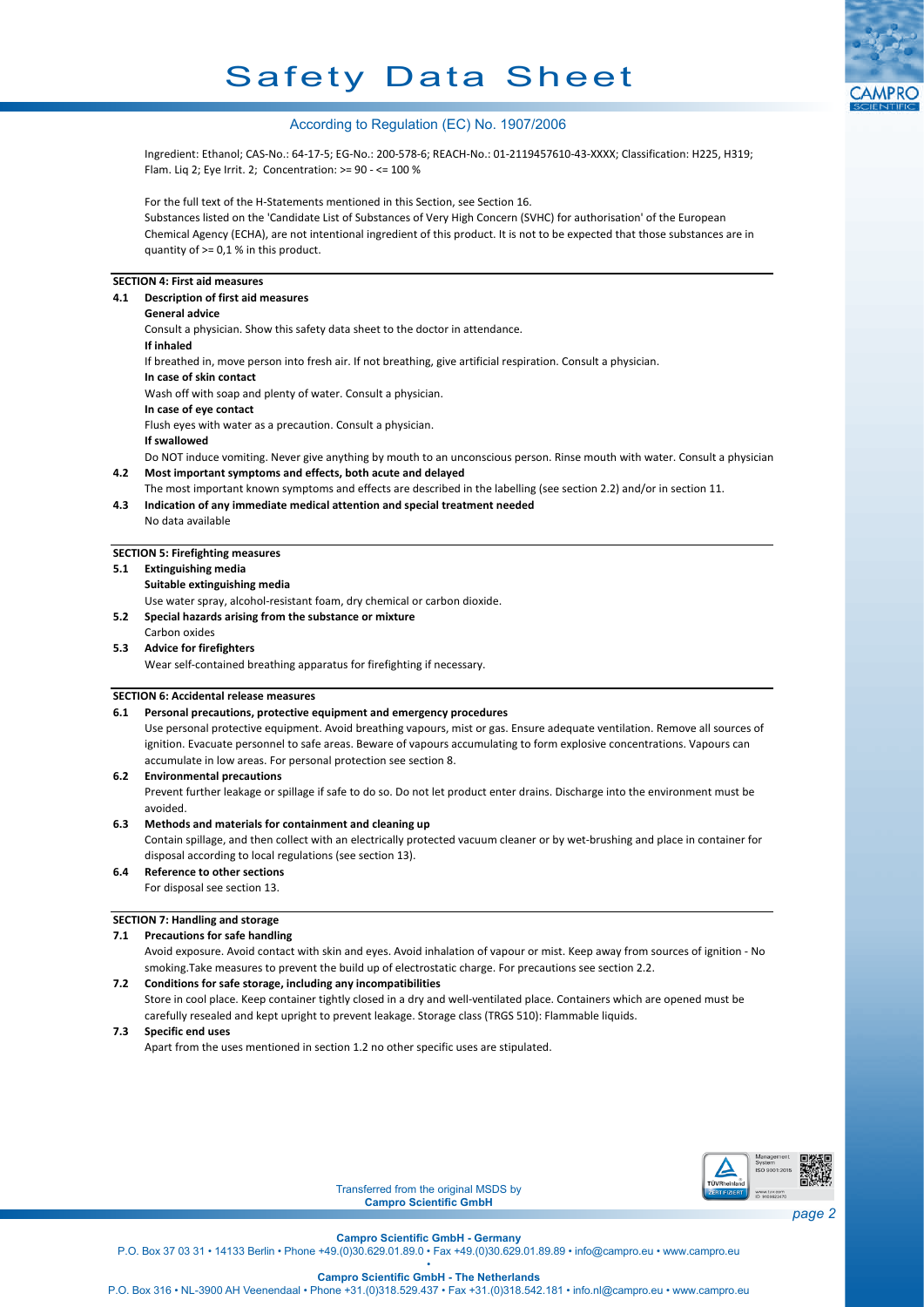# Safety Data Sheet



## According to Regulation (EC) No. 1907/2006

Ingredient: Ethanol; CAS-No.: 64-17-5; EG-No.: 200-578-6; REACH-No.: 01-2119457610-43-XXXX; Classification: H225, H319; Flam. Liq 2; Eye Irrit. 2; Concentration: >= 90 - <= 100 %

For the full text of the H-Statements mentioned in this Section, see Section 16. Substances listed on the 'Candidate List of Substances of Very High Concern (SVHC) for authorisation' of the European Chemical Agency (ECHA), are not intentional ingredient of this product. It is not to be expected that those substances are in quantity of  $> = 0.1$  % in this product.

## **SECTION 4: First aid measures**

| 4.1 | Description of first aid measures                                                                                          |  |  |
|-----|----------------------------------------------------------------------------------------------------------------------------|--|--|
|     | <b>General advice</b>                                                                                                      |  |  |
|     | Consult a physician. Show this safety data sheet to the doctor in attendance.                                              |  |  |
|     | If inhaled                                                                                                                 |  |  |
|     | If breathed in, move person into fresh air. If not breathing, give artificial respiration. Consult a physician.            |  |  |
|     | In case of skin contact                                                                                                    |  |  |
|     | Wash off with soap and plenty of water. Consult a physician.                                                               |  |  |
|     | In case of eye contact                                                                                                     |  |  |
|     | Flush eyes with water as a precaution. Consult a physician.                                                                |  |  |
|     | If swallowed                                                                                                               |  |  |
|     | Do NOT induce vomiting. Never give anything by mouth to an unconscious person. Rinse mouth with water. Consult a physician |  |  |
| 4.2 | Most important symptoms and effects, both acute and delayed                                                                |  |  |
|     | The most important known symptoms and effects are described in the labelling (see section 2.2) and/or in section 11.       |  |  |
| 4.3 | Indication of any immediate medical attention and special treatment needed                                                 |  |  |
|     | No data available                                                                                                          |  |  |

#### **SECTION 5: Firefighting measures**

## **5.1 Extinguishing media**

**Suitable extinguishing media**

Use water spray, alcohol-resistant foam, dry chemical or carbon dioxide.

**5.2 Special hazards arising from the substance or mixture**

#### Carbon oxides **5.3 Advice for firefighters**

Wear self-contained breathing apparatus for firefighting if necessary.

#### **SECTION 6: Accidental release measures**

#### **6.1 Personal precautions, protective equipment and emergency procedures**

Use personal protective equipment. Avoid breathing vapours, mist or gas. Ensure adequate ventilation. Remove all sources of ignition. Evacuate personnel to safe areas. Beware of vapours accumulating to form explosive concentrations. Vapours can accumulate in low areas. For personal protection see section 8.

#### **6.2 Environmental precautions**

Prevent further leakage or spillage if safe to do so. Do not let product enter drains. Discharge into the environment must be avoided.

#### **6.3 Methods and materials for containment and cleaning up**

Contain spillage, and then collect with an electrically protected vacuum cleaner or by wet-brushing and place in container for disposal according to local regulations (see section 13).

## **6.4 Reference to other sections**

For disposal see section 13.

#### **SECTION 7: Handling and storage**

#### **7.1 Precautions for safe handling**

Avoid exposure. Avoid contact with skin and eyes. Avoid inhalation of vapour or mist. Keep away from sources of ignition - No smoking.Take measures to prevent the build up of electrostatic charge. For precautions see section 2.2.

#### **7.2 Conditions for safe storage, including any incompatibilities**

Store in cool place. Keep container tightly closed in a dry and well-ventilated place. Containers which are opened must be carefully resealed and kept upright to prevent leakage. Storage class (TRGS 510): Flammable liquids.

## **7.3 Specific end uses**

Apart from the uses mentioned in section 1.2 no other specific uses are stipulated.



Transferred from the original MSDS by **Campro Scientific GmbH**

**Campro Scientific GmbH - Germany**

P.O. Box 37 03 31 • 14133 Berlin • Phone +49.(0)30.629.01.89.0 • Fax +49.(0)30.629.01.89.89 • info@campro.eu •<www.campro.eu> •

**Campro Scientific GmbH - The Netherlands**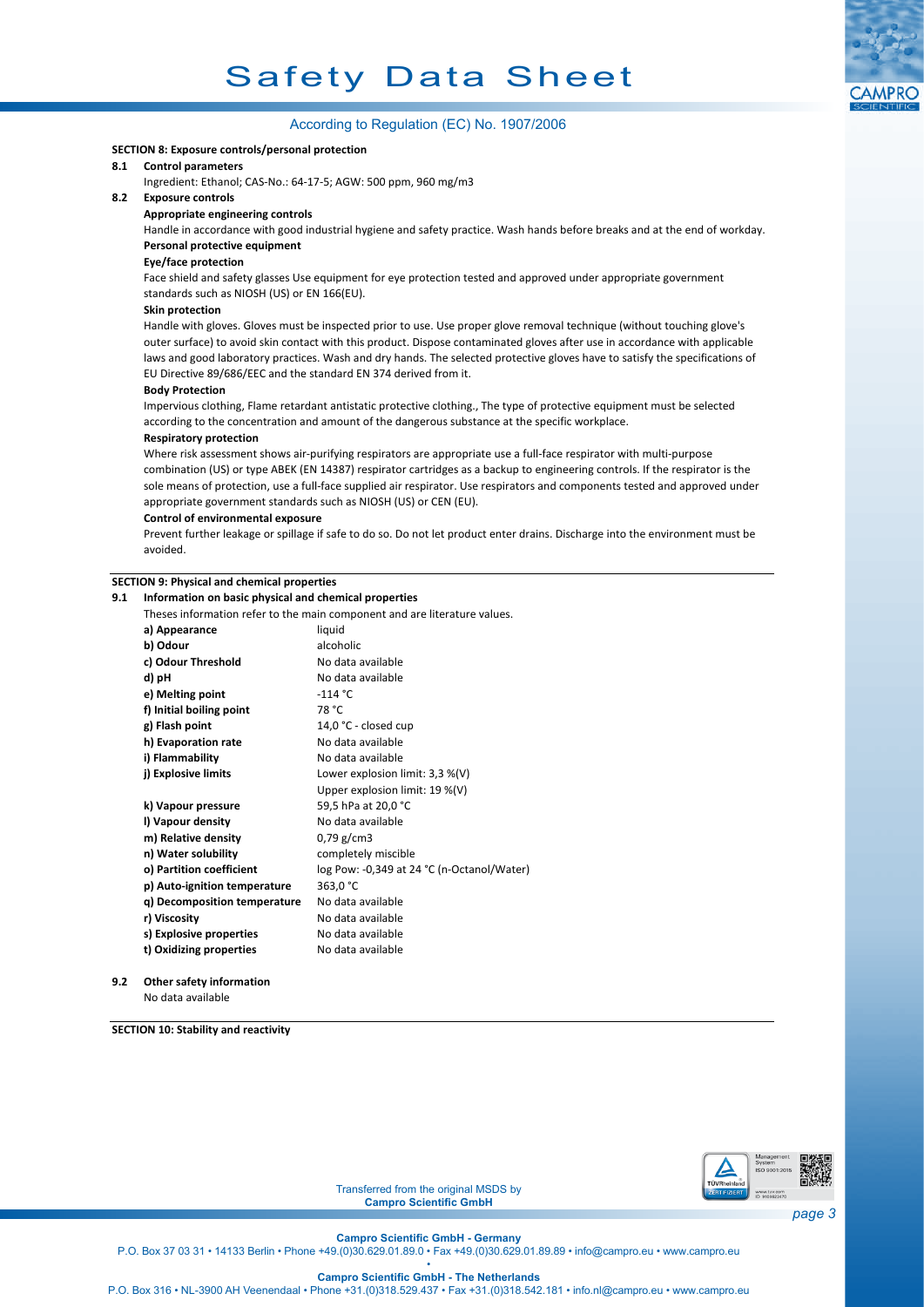

## According to Regulation (EC) No. 1907/2006

#### **SECTION 8: Exposure controls/personal protection**

### **8.1 Control parameters**

Ingredient: Ethanol; CAS-No.: 64-17-5; AGW: 500 ppm, 960 mg/m3

## **8.2 Exposure controls**

**Appropriate engineering controls**

Handle in accordance with good industrial hygiene and safety practice. Wash hands before breaks and at the end of workday. **Personal protective equipment**

## **Eye/face protection**

Face shield and safety glasses Use equipment for eye protection tested and approved under appropriate government standards such as NIOSH (US) or EN 166(EU).

#### **Skin protection**

Handle with gloves. Gloves must be inspected prior to use. Use proper glove removal technique (without touching glove's outer surface) to avoid skin contact with this product. Dispose contaminated gloves after use in accordance with applicable laws and good laboratory practices. Wash and dry hands. The selected protective gloves have to satisfy the specifications of EU Directive 89/686/EEC and the standard EN 374 derived from it.

#### **Body Protection**

Impervious clothing, Flame retardant antistatic protective clothing., The type of protective equipment must be selected according to the concentration and amount of the dangerous substance at the specific workplace.

#### **Respiratory protection**

Where risk assessment shows air-purifying respirators are appropriate use a full-face respirator with multi-purpose combination (US) or type ABEK (EN 14387) respirator cartridges as a backup to engineering controls. If the respirator is the sole means of protection, use a full-face supplied air respirator. Use respirators and components tested and approved under appropriate government standards such as NIOSH (US) or CEN (EU).

### **Control of environmental exposure**

Prevent further leakage or spillage if safe to do so. Do not let product enter drains. Discharge into the environment must be avoided.

## **SECTION 9: Physical and chemical properties**

| 9.1 | Information on basic physical and chemical properties                     |                                            |  |  |  |
|-----|---------------------------------------------------------------------------|--------------------------------------------|--|--|--|
|     | Theses information refer to the main component and are literature values. |                                            |  |  |  |
|     | a) Appearance                                                             | liquid                                     |  |  |  |
|     | b) Odour                                                                  | alcoholic                                  |  |  |  |
|     | c) Odour Threshold                                                        | No data available                          |  |  |  |
|     | d) pH                                                                     | No data available                          |  |  |  |
|     | e) Melting point                                                          | $-114$ °C                                  |  |  |  |
|     | f) Initial boiling point                                                  | 78 °C                                      |  |  |  |
|     | g) Flash point                                                            | 14,0 °C - closed cup                       |  |  |  |
|     | h) Evaporation rate                                                       | No data available                          |  |  |  |
|     | i) Flammability                                                           | No data available                          |  |  |  |
|     | j) Explosive limits                                                       | Lower explosion limit: 3,3 %(V)            |  |  |  |
|     |                                                                           | Upper explosion limit: 19 %(V)             |  |  |  |
|     | k) Vapour pressure                                                        | 59,5 hPa at 20,0 °C                        |  |  |  |
|     | I) Vapour density                                                         | No data available                          |  |  |  |
|     | m) Relative density                                                       | 0,79 g/cm3                                 |  |  |  |
|     | n) Water solubility                                                       | completely miscible                        |  |  |  |
|     | o) Partition coefficient                                                  | log Pow: -0,349 at 24 °C (n-Octanol/Water) |  |  |  |
|     | p) Auto-ignition temperature                                              | 363,0 °C                                   |  |  |  |
|     | q) Decomposition temperature                                              | No data available                          |  |  |  |
|     | r) Viscosity                                                              | No data available                          |  |  |  |
|     | s) Explosive properties                                                   | No data available                          |  |  |  |
|     | t) Oxidizing properties                                                   | No data available                          |  |  |  |
|     |                                                                           |                                            |  |  |  |

**9.2 Other safety information** No data available

**SECTION 10: Stability and reactivity**



Transferred from the original MSDS by **Campro Scientific GmbH**

**Campro Scientific GmbH - Germany**

P.O. Box 37 03 31 • 14133 Berlin • Phone +49.(0)30.629.01.89.0 • Fax +49.(0)30.629.01.89.89 • info@campro.eu •<www.campro.eu> •

**Campro Scientific GmbH - The Netherlands**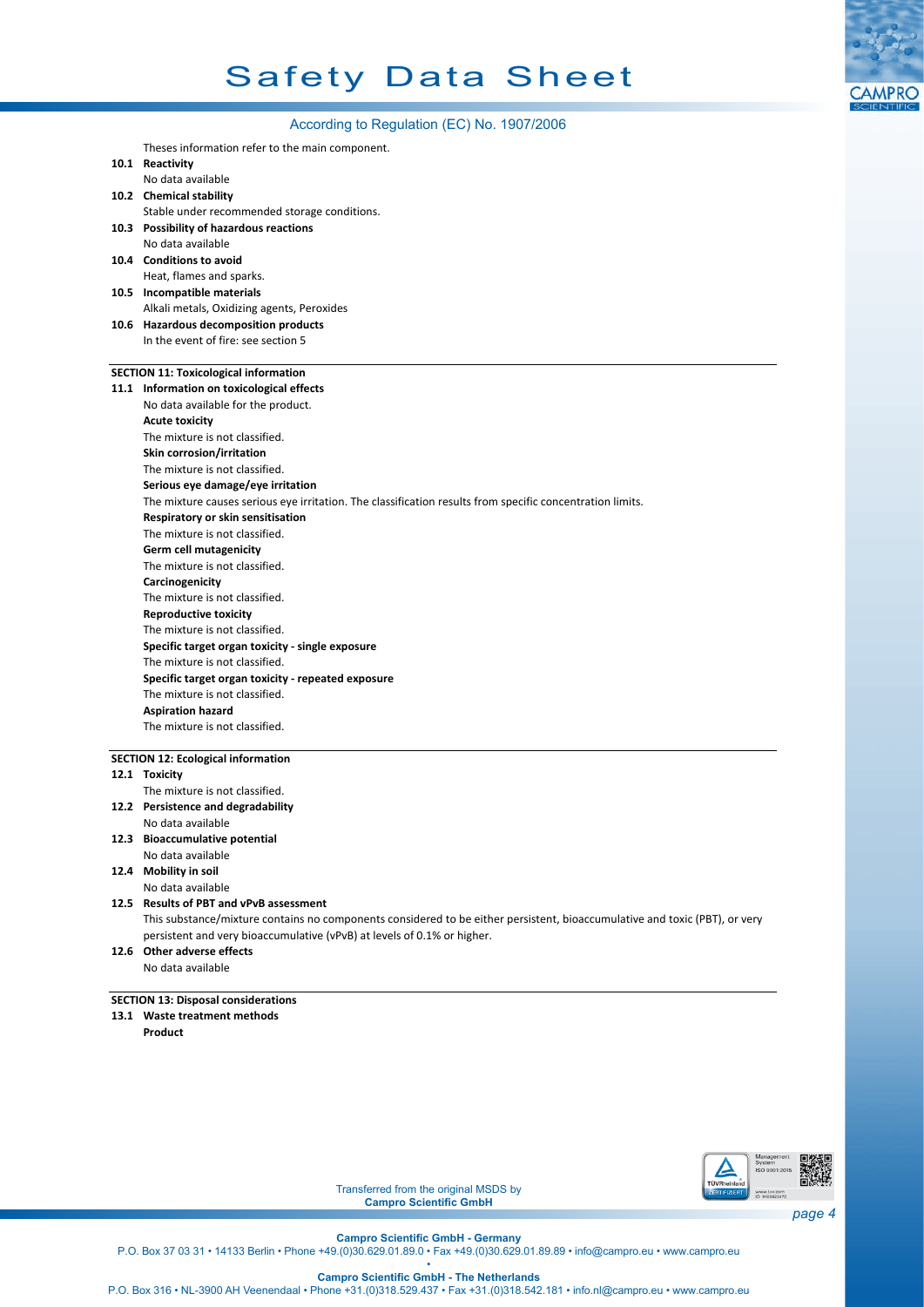

## According to Regulation (EC) No. 1907/2006

Theses information refer to the main component.

- **10.1 Reactivity**
	- No data available
- **10.2 Chemical stability**
- **10.3 Possibility of hazardous reactions** Stable under recommended storage conditions.
- No data available
- **10.4 Conditions to avoid** Heat, flames and sparks.
- **10.5 Incompatible materials**
- **10.6 Hazardous decomposition products** Alkali metals, Oxidizing agents, Peroxides
- In the event of fire: see section 5

## **SECTION 11: Toxicological information**

| 11.1 Information on toxicological effects                                                                 |  |  |  |
|-----------------------------------------------------------------------------------------------------------|--|--|--|
| No data available for the product.                                                                        |  |  |  |
| <b>Acute toxicity</b>                                                                                     |  |  |  |
| The mixture is not classified.                                                                            |  |  |  |
| Skin corrosion/irritation                                                                                 |  |  |  |
| The mixture is not classified.                                                                            |  |  |  |
| Serious eye damage/eye irritation                                                                         |  |  |  |
| The mixture causes serious eye irritation. The classification results from specific concentration limits. |  |  |  |
| Respiratory or skin sensitisation                                                                         |  |  |  |
| The mixture is not classified.                                                                            |  |  |  |
| <b>Germ cell mutagenicity</b>                                                                             |  |  |  |
| The mixture is not classified.                                                                            |  |  |  |
| Carcinogenicity                                                                                           |  |  |  |
| The mixture is not classified.                                                                            |  |  |  |
| <b>Reproductive toxicity</b>                                                                              |  |  |  |
| The mixture is not classified.                                                                            |  |  |  |
| Specific target organ toxicity - single exposure                                                          |  |  |  |
| The mixture is not classified.                                                                            |  |  |  |
| Specific target organ toxicity - repeated exposure                                                        |  |  |  |
| The mixture is not classified.                                                                            |  |  |  |
| <b>Aspiration hazard</b>                                                                                  |  |  |  |
| The mixture is not classified.                                                                            |  |  |  |
|                                                                                                           |  |  |  |

### **SECTION 12: Ecological information**

- **12.1 Toxicity**
- **12.2 Persistence and degradability** The mixture is not classified.
- No data available
- **12.3 Bioaccumulative potential**
- No data available

**12.4 Mobility in soil**

No data available

## **12.5 Results of PBT and vPvB assessment**

This substance/mixture contains no components considered to be either persistent, bioaccumulative and toxic (PBT), or very persistent and very bioaccumulative (vPvB) at levels of 0.1% or higher.

## **12.6 Other adverse effects** No data available

## **SECTION 13: Disposal considerations**

**13.1 Waste treatment methods**

**Product**



Transferred from the original MSDS by **Campro Scientific GmbH**

**Campro Scientific GmbH - Germany**

P.O. Box 37 03 31 • 14133 Berlin • Phone +49.(0)30.629.01.89.0 • Fax +49.(0)30.629.01.89.89 • info@campro.eu •<www.campro.eu> •

**Campro Scientific GmbH - The Netherlands**